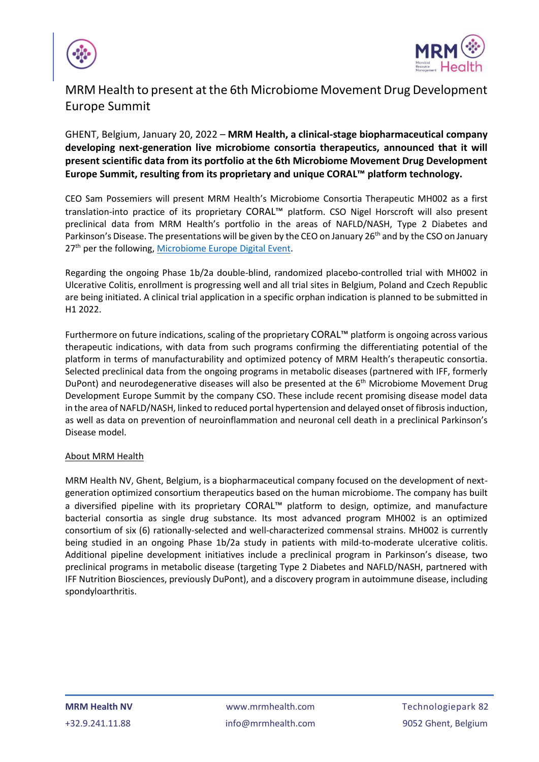



## MRM Health to present at the 6th Microbiome Movement Drug Development Europe Summit

GHENT, Belgium, January 20, 2022 – **MRM Health, a clinical-stage biopharmaceutical company developing next-generation live microbiome consortia therapeutics, announced that it will present scientific data from its portfolio at the 6th Microbiome Movement Drug Development Europe Summit, resulting from its proprietary and unique CORAL™ platform technology.**

CEO Sam Possemiers will present MRM Health's Microbiome Consortia Therapeutic MH002 as a first translation-into practice of its proprietary CORAL™ platform. CSO Nigel Horscroft will also present preclinical data from MRM Health's portfolio in the areas of NAFLD/NASH, Type 2 Diabetes and Parkinson's Disease. The presentations will be given by the CEO on January 26<sup>th</sup> and by the CSO on January 27<sup>th</sup> per the following, [Microbiome Europe Digital Event.](https://microbiome-europe.com/)

Regarding the ongoing Phase 1b/2a double-blind, randomized placebo-controlled trial with MH002 in Ulcerative Colitis, enrollment is progressing well and all trial sites in Belgium, Poland and Czech Republic are being initiated. A clinical trial application in a specific orphan indication is planned to be submitted in H1 2022.

Furthermore on future indications, scaling of the proprietary CORAL™ platform is ongoing across various therapeutic indications, with data from such programs confirming the differentiating potential of the platform in terms of manufacturability and optimized potency of MRM Health's therapeutic consortia. Selected preclinical data from the ongoing programs in metabolic diseases (partnered with IFF, formerly DuPont) and neurodegenerative diseases will also be presented at the 6<sup>th</sup> Microbiome Movement Drug Development Europe Summit by the company CSO. These include recent promising disease model data in the area of NAFLD/NASH, linked to reduced portal hypertension and delayed onset of fibrosis induction, as well as data on prevention of neuroinflammation and neuronal cell death in a preclinical Parkinson's Disease model.

## About MRM Health

MRM Health NV, Ghent, Belgium, is a biopharmaceutical company focused on the development of nextgeneration optimized consortium therapeutics based on the human microbiome. The company has built a diversified pipeline with its proprietary CORAL™ platform to design, optimize, and manufacture bacterial consortia as single drug substance. Its most advanced program MH002 is an optimized consortium of six (6) rationally-selected and well-characterized commensal strains. MH002 is currently being studied in an ongoing Phase 1b/2a study in patients with mild-to-moderate ulcerative colitis. Additional pipeline development initiatives include a preclinical program in Parkinson's disease, two preclinical programs in metabolic disease (targeting Type 2 Diabetes and NAFLD/NASH, partnered with IFF Nutrition Biosciences, previously DuPont), and a discovery program in autoimmune disease, including spondyloarthritis.